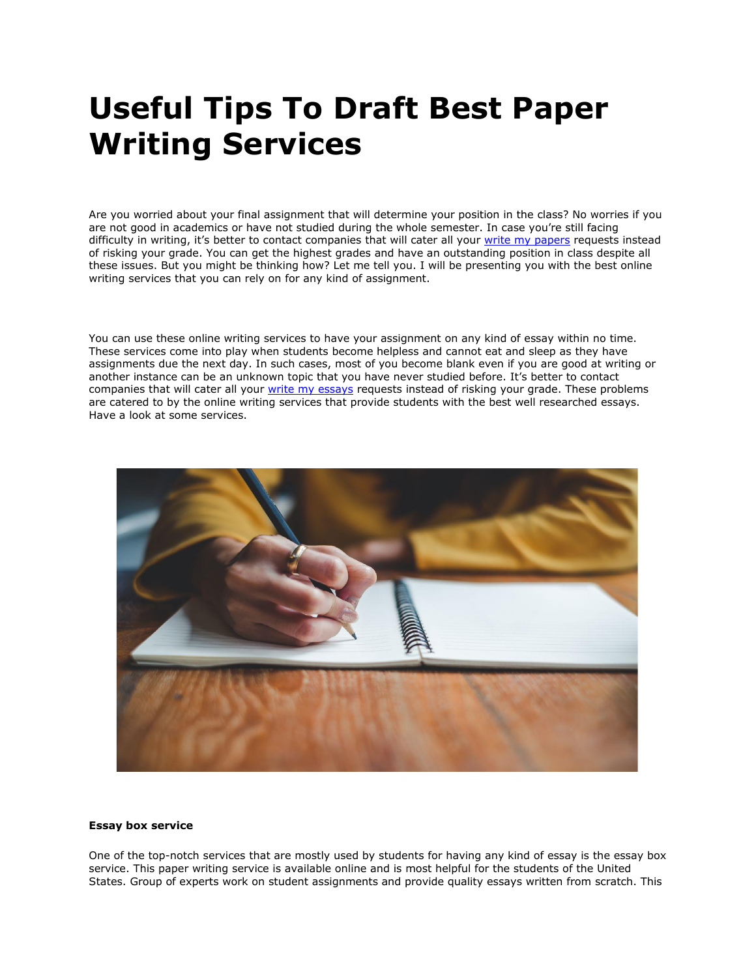# **Useful Tips To Draft Best Paper Writing Services**

Are you worried about your final assignment that will determine your position in the class? No worries if you are not good in academics or have not studied during the whole semester. In case you're still facing difficulty in writing, it's better to contact companies that will cater all your [write my papers](https://www.myperfectpaper.net/) requests instead of risking your grade. You can get the highest grades and have an outstanding position in class despite all these issues. But you might be thinking how? Let me tell you. I will be presenting you with the best online writing services that you can rely on for any kind of assignment.

You can use these online writing services to have your assignment on any kind of essay within no time. These services come into play when students become helpless and cannot eat and sleep as they have assignments due the next day. In such cases, most of you become blank even if you are good at writing or another instance can be an unknown topic that you have never studied before. It's better to contact companies that will cater all your [write my essays](https://www.writemyessay.help/) requests instead of risking your grade. These problems are catered to by the online writing services that provide students with the best well researched essays. Have a look at some services.



#### **Essay box service**

One of the top-notch services that are mostly used by students for having any kind of essay is the essay box service. This paper writing service is available online and is most helpful for the students of the United States. Group of experts work on student assignments and provide quality essays written from scratch. This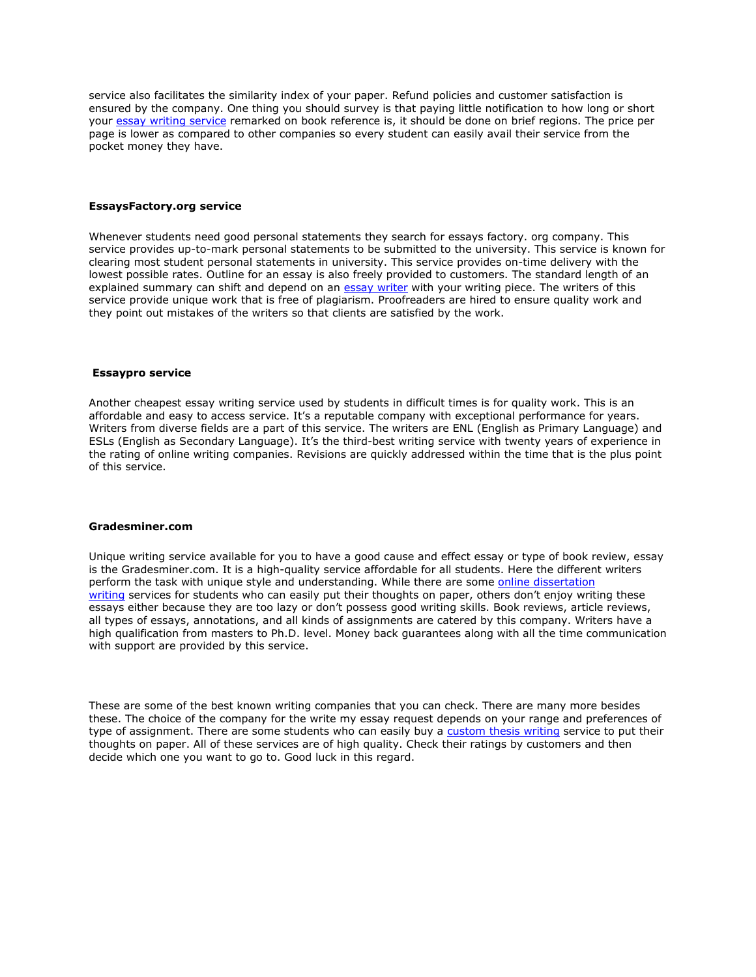service also facilitates the similarity index of your paper. Refund policies and customer satisfaction is ensured by the company. One thing you should survey is that paying little notification to how long or short your [essay writing service](https://essayhours.com/) remarked on book reference is, it should be done on brief regions. The price per page is lower as compared to other companies so every student can easily avail their service from the pocket money they have.

### **EssaysFactory.org service**

Whenever students need good personal statements they search for essays factory. org company. This service provides up-to-mark personal statements to be submitted to the university. This service is known for clearing most student personal statements in university. This service provides on-time delivery with the lowest possible rates. Outline for an essay is also freely provided to customers. The standard length of an explained summary can shift and depend on an [essay writer](https://www.collegeessay.org/) with your writing piece. The writers of this service provide unique work that is free of plagiarism. Proofreaders are hired to ensure quality work and they point out mistakes of the writers so that clients are satisfied by the work.

### **Essaypro service**

Another cheapest essay writing service used by students in difficult times is for quality work. This is an affordable and easy to access service. It's a reputable company with exceptional performance for years. Writers from diverse fields are a part of this service. The writers are ENL (English as Primary Language) and ESLs (English as Secondary Language). It's the third-best writing service with twenty years of experience in the rating of online writing companies. Revisions are quickly addressed within the time that is the plus point of this service.

#### **Gradesminer.com**

Unique writing service available for you to have a good cause and effect essay or type of book review, essay is the Gradesminer.com. It is a high-quality service affordable for all students. Here the different writers perform the task with unique style and understanding. While there are some online dissertation [writing](https://www.gradschoolgenius.com/dissertation-writing-services) services for students who can easily put their thoughts on paper, others don't enjoy writing these essays either because they are too lazy or don't possess good writing skills. Book reviews, article reviews, all types of essays, annotations, and all kinds of assignments are catered by this company. Writers have a high qualification from masters to Ph.D. level. Money back guarantees along with all the time communication with support are provided by this service.

These are some of the best known writing companies that you can check. There are many more besides these. The choice of the company for the write my essay request depends on your range and preferences of type of assignment. There are some students who can easily buy a [custom thesis writing](https://www.gradschoolgenius.com/custom-thesis) service to put their thoughts on paper. All of these services are of high quality. Check their ratings by customers and then decide which one you want to go to. Good luck in this regard.